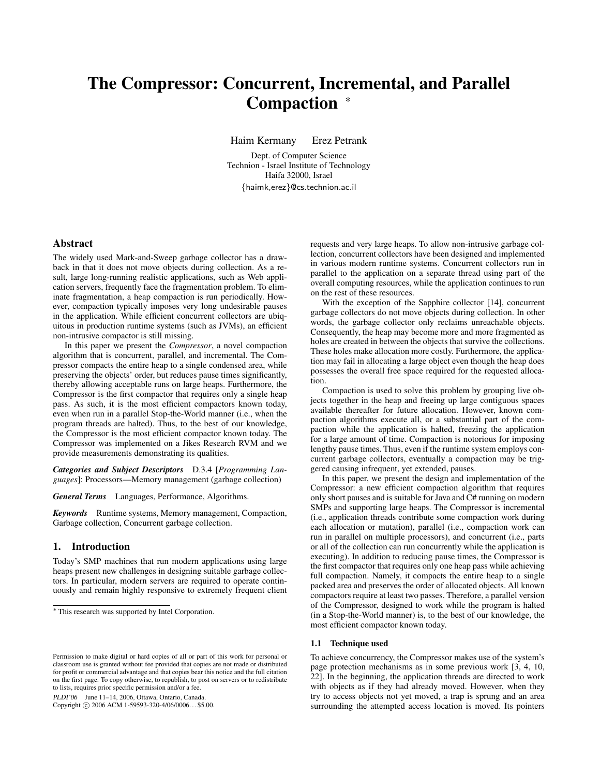# The Compressor: Concurrent, Incremental, and Parallel Compaction <sup>∗</sup>

Haim Kermany Erez Petrank

Dept. of Computer Science Technion - Israel Institute of Technology Haifa 32000, Israel {haimk,erez}@cs.technion.ac.il

# Abstract

The widely used Mark-and-Sweep garbage collector has a drawback in that it does not move objects during collection. As a result, large long-running realistic applications, such as Web application servers, frequently face the fragmentation problem. To eliminate fragmentation, a heap compaction is run periodically. However, compaction typically imposes very long undesirable pauses in the application. While efficient concurrent collectors are ubiquitous in production runtime systems (such as JVMs), an efficient non-intrusive compactor is still missing.

In this paper we present the *Compressor*, a novel compaction algorithm that is concurrent, parallel, and incremental. The Compressor compacts the entire heap to a single condensed area, while preserving the objects' order, but reduces pause times significantly, thereby allowing acceptable runs on large heaps. Furthermore, the Compressor is the first compactor that requires only a single heap pass. As such, it is the most efficient compactors known today, even when run in a parallel Stop-the-World manner (i.e., when the program threads are halted). Thus, to the best of our knowledge, the Compressor is the most efficient compactor known today. The Compressor was implemented on a Jikes Research RVM and we provide measurements demonstrating its qualities.

*Categories and Subject Descriptors* D.3.4 [*Programming Languages*]: Processors—Memory management (garbage collection)

*General Terms* Languages, Performance, Algorithms.

*Keywords* Runtime systems, Memory management, Compaction, Garbage collection, Concurrent garbage collection.

## 1. Introduction

Today's SMP machines that run modern applications using large heaps present new challenges in designing suitable garbage collectors. In particular, modern servers are required to operate continuously and remain highly responsive to extremely frequent client

PLDI'06 June 11–14, 2006, Ottawa, Ontario, Canada.

Copyright © 2006 ACM 1-59593-320-4/06/0006... \$5.00.

requests and very large heaps. To allow non-intrusive garbage collection, concurrent collectors have been designed and implemented in various modern runtime systems. Concurrent collectors run in parallel to the application on a separate thread using part of the overall computing resources, while the application continues to run on the rest of these resources.

With the exception of the Sapphire collector [14], concurrent garbage collectors do not move objects during collection. In other words, the garbage collector only reclaims unreachable objects. Consequently, the heap may become more and more fragmented as holes are created in between the objects that survive the collections. These holes make allocation more costly. Furthermore, the application may fail in allocating a large object even though the heap does possesses the overall free space required for the requested allocation.

Compaction is used to solve this problem by grouping live objects together in the heap and freeing up large contiguous spaces available thereafter for future allocation. However, known compaction algorithms execute all, or a substantial part of the compaction while the application is halted, freezing the application for a large amount of time. Compaction is notorious for imposing lengthy pause times. Thus, even if the runtime system employs concurrent garbage collectors, eventually a compaction may be triggered causing infrequent, yet extended, pauses.

In this paper, we present the design and implementation of the Compressor: a new efficient compaction algorithm that requires only short pauses and is suitable for Java and C# running on modern SMPs and supporting large heaps. The Compressor is incremental (i.e., application threads contribute some compaction work during each allocation or mutation), parallel (i.e., compaction work can run in parallel on multiple processors), and concurrent (i.e., parts or all of the collection can run concurrently while the application is executing). In addition to reducing pause times, the Compressor is the first compactor that requires only one heap pass while achieving full compaction. Namely, it compacts the entire heap to a single packed area and preserves the order of allocated objects. All known compactors require at least two passes. Therefore, a parallel version of the Compressor, designed to work while the program is halted (in a Stop-the-World manner) is, to the best of our knowledge, the most efficient compactor known today.

## 1.1 Technique used

To achieve concurrency, the Compressor makes use of the system's page protection mechanisms as in some previous work [3, 4, 10, 22]. In the beginning, the application threads are directed to work with objects as if they had already moved. However, when they try to access objects not yet moved, a trap is sprung and an area surrounding the attempted access location is moved. Its pointers

<sup>∗</sup> This research was supported by Intel Corporation.

Permission to make digital or hard copies of all or part of this work for personal or classroom use is granted without fee provided that copies are not made or distributed for profit or commercial advantage and that copies bear this notice and the full citation on the first page. To copy otherwise, to republish, to post on servers or to redistribute to lists, requires prior specific permission and/or a fee.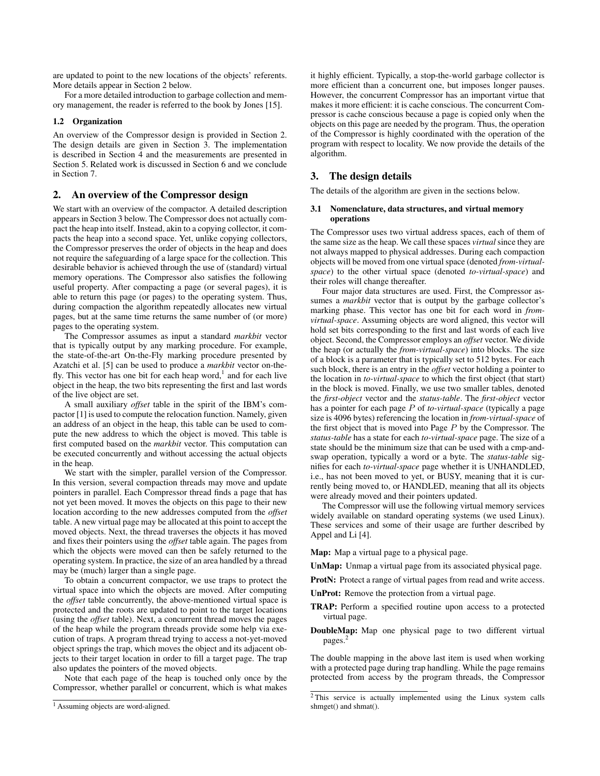are updated to point to the new locations of the objects' referents. More details appear in Section 2 below.

For a more detailed introduction to garbage collection and memory management, the reader is referred to the book by Jones [15].

## 1.2 Organization

An overview of the Compressor design is provided in Section 2. The design details are given in Section 3. The implementation is described in Section 4 and the measurements are presented in Section 5. Related work is discussed in Section 6 and we conclude in Section 7.

# 2. An overview of the Compressor design

We start with an overview of the compactor. A detailed description appears in Section 3 below. The Compressor does not actually compact the heap into itself. Instead, akin to a copying collector, it compacts the heap into a second space. Yet, unlike copying collectors, the Compressor preserves the order of objects in the heap and does not require the safeguarding of a large space for the collection. This desirable behavior is achieved through the use of (standard) virtual memory operations. The Compressor also satisfies the following useful property. After compacting a page (or several pages), it is able to return this page (or pages) to the operating system. Thus, during compaction the algorithm repeatedly allocates new virtual pages, but at the same time returns the same number of (or more) pages to the operating system.

The Compressor assumes as input a standard *markbit* vector that is typically output by any marking procedure. For example, the state-of-the-art On-the-Fly marking procedure presented by Azatchi et al. [5] can be used to produce a *markbit* vector on-thefly. This vector has one bit for each heap word,<sup>1</sup> and for each live object in the heap, the two bits representing the first and last words of the live object are set.

A small auxiliary *offset* table in the spirit of the IBM's compactor [1] is used to compute the relocation function. Namely, given an address of an object in the heap, this table can be used to compute the new address to which the object is moved. This table is first computed based on the *markbit* vector. This computation can be executed concurrently and without accessing the actual objects in the heap.

We start with the simpler, parallel version of the Compressor. In this version, several compaction threads may move and update pointers in parallel. Each Compressor thread finds a page that has not yet been moved. It moves the objects on this page to their new location according to the new addresses computed from the *offset* table. A new virtual page may be allocated at this point to accept the moved objects. Next, the thread traverses the objects it has moved and fixes their pointers using the *offset* table again. The pages from which the objects were moved can then be safely returned to the operating system. In practice, the size of an area handled by a thread may be (much) larger than a single page.

To obtain a concurrent compactor, we use traps to protect the virtual space into which the objects are moved. After computing the *offset* table concurrently, the above-mentioned virtual space is protected and the roots are updated to point to the target locations (using the *offset* table). Next, a concurrent thread moves the pages of the heap while the program threads provide some help via execution of traps. A program thread trying to access a not-yet-moved object springs the trap, which moves the object and its adjacent objects to their target location in order to fill a target page. The trap also updates the pointers of the moved objects.

Note that each page of the heap is touched only once by the Compressor, whether parallel or concurrent, which is what makes

it highly efficient. Typically, a stop-the-world garbage collector is more efficient than a concurrent one, but imposes longer pauses. However, the concurrent Compressor has an important virtue that makes it more efficient: it is cache conscious. The concurrent Compressor is cache conscious because a page is copied only when the objects on this page are needed by the program. Thus, the operation of the Compressor is highly coordinated with the operation of the program with respect to locality. We now provide the details of the algorithm.

# 3. The design details

The details of the algorithm are given in the sections below.

## 3.1 Nomenclature, data structures, and virtual memory operations

The Compressor uses two virtual address spaces, each of them of the same size as the heap. We call these spaces *virtual* since they are not always mapped to physical addresses. During each compaction objects will be moved from one virtual space (denoted *from-virtualspace*) to the other virtual space (denoted *to-virtual-space*) and their roles will change thereafter.

Four major data structures are used. First, the Compressor assumes a *markbit* vector that is output by the garbage collector's marking phase. This vector has one bit for each word in *fromvirtual-space*. Assuming objects are word aligned, this vector will hold set bits corresponding to the first and last words of each live object. Second, the Compressor employs an *offset* vector. We divide the heap (or actually the *from-virtual-space*) into blocks. The size of a block is a parameter that is typically set to 512 bytes. For each such block, there is an entry in the *offset* vector holding a pointer to the location in *to-virtual-space* to which the first object (that start) in the block is moved. Finally, we use two smaller tables, denoted the *first-object* vector and the *status-table*. The *first-object* vector has a pointer for each page P of *to-virtual-space* (typically a page size is 4096 bytes) referencing the location in *from-virtual-space* of the first object that is moved into Page  $P$  by the Compressor. The *status-table* has a state for each *to-virtual-space* page. The size of a state should be the minimum size that can be used with a cmp-andswap operation, typically a word or a byte. The *status-table* signifies for each *to-virtual-space* page whether it is UNHANDLED, i.e., has not been moved to yet, or BUSY, meaning that it is currently being moved to, or HANDLED, meaning that all its objects were already moved and their pointers updated.

The Compressor will use the following virtual memory services widely available on standard operating systems (we used Linux). These services and some of their usage are further described by Appel and Li [4].

Map: Map a virtual page to a physical page.

UnMap: Unmap a virtual page from its associated physical page.

- ProtN: Protect a range of virtual pages from read and write access.
- UnProt: Remove the protection from a virtual page.
- TRAP: Perform a specified routine upon access to a protected virtual page.
- DoubleMap: Map one physical page to two different virtual pages.<sup>2</sup>

The double mapping in the above last item is used when working with a protected page during trap handling. While the page remains protected from access by the program threads, the Compressor

<sup>&</sup>lt;sup>1</sup> Assuming objects are word-aligned.

<sup>2</sup> This service is actually implemented using the Linux system calls shmget() and shmat().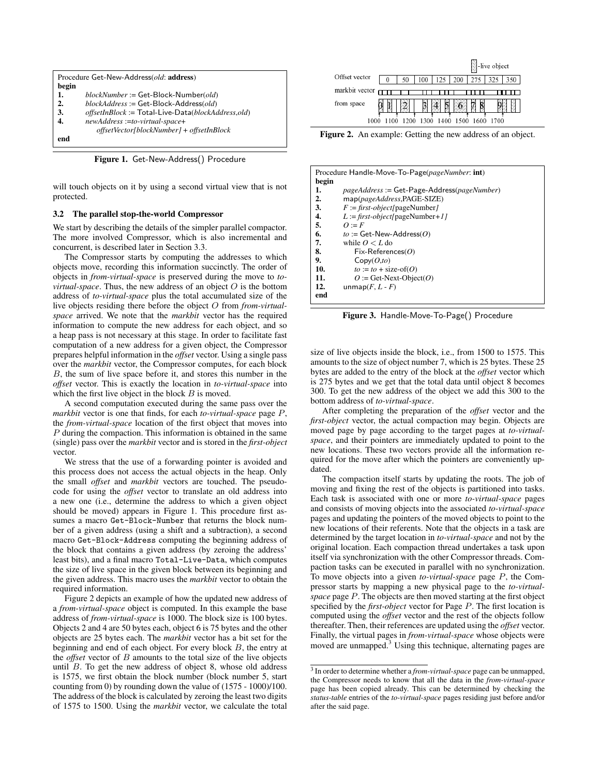

Figure 1. Get-New-Address() Procedure

will touch objects on it by using a second virtual view that is not protected.

### 3.2 The parallel stop-the-world Compressor

We start by describing the details of the simpler parallel compactor. The more involved Compressor, which is also incremental and concurrent, is described later in Section 3.3.

The Compressor starts by computing the addresses to which objects move, recording this information succinctly. The order of objects in *from-virtual-space* is preserved during the move to *tovirtual-space*. Thus, the new address of an object O is the bottom address of *to-virtual-space* plus the total accumulated size of the live objects residing there before the object O from *from-virtualspace* arrived. We note that the *markbit* vector has the required information to compute the new address for each object, and so a heap pass is not necessary at this stage. In order to facilitate fast computation of a new address for a given object, the Compressor prepares helpful information in the *offset* vector. Using a single pass over the *markbit* vector, the Compressor computes, for each block B, the sum of live space before it, and stores this number in the *offset* vector. This is exactly the location in *to-virtual-space* into which the first live object in the block  $B$  is moved.

A second computation executed during the same pass over the *markbit* vector is one that finds, for each *to-virtual-space* page P, the *from-virtual-space* location of the first object that moves into P during the compaction. This information is obtained in the same (single) pass over the *markbit* vector and is stored in the *first-object* vector.

We stress that the use of a forwarding pointer is avoided and this process does not access the actual objects in the heap. Only the small *offset* and *markbit* vectors are touched. The pseudocode for using the *offset* vector to translate an old address into a new one (i.e., determine the address to which a given object should be moved) appears in Figure 1. This procedure first assumes a macro Get-Block-Number that returns the block number of a given address (using a shift and a subtraction), a second macro Get-Block-Address computing the beginning address of the block that contains a given address (by zeroing the address' least bits), and a final macro Total-Live-Data, which computes the size of live space in the given block between its beginning and the given address. This macro uses the *markbit* vector to obtain the required information.

Figure 2 depicts an example of how the updated new address of a *from-virtual-space* object is computed. In this example the base address of *from-virtual-space* is 1000. The block size is 100 bytes. Objects 2 and 4 are 50 bytes each, object 6 is 75 bytes and the other objects are 25 bytes each. The *markbit* vector has a bit set for the beginning and end of each object. For every block B, the entry at the *offset* vector of B amounts to the total size of the live objects until B. To get the new address of object 8, whose old address is 1575, we first obtain the block number (block number 5, start counting from 0) by rounding down the value of (1575 - 1000)/100. The address of the block is calculated by zeroing the least two digits of 1575 to 1500. Using the *markbit* vector, we calculate the total



Figure 2. An example: Getting the new address of an object.

|       | Procedure Handle-Move-To-Page(pageNumber: int) |  |  |  |  |
|-------|------------------------------------------------|--|--|--|--|
| begin |                                                |  |  |  |  |
| 1.    | $pageAddress := Get-Page-Address(pageNumber)$  |  |  |  |  |
| 2.    | map(pageAddress,PAGE-SIZE)                     |  |  |  |  |
| 3.    | $F := \frac{first-object[pageNumber]}{F}$      |  |  |  |  |
| 4.    | $L := first-object(pageNumber+1)$              |  |  |  |  |
| 5.    | $Q = F$                                        |  |  |  |  |
| 6.    | to := Get-New-Address(O)                       |  |  |  |  |
| 7.    | while $Q < L$ do                               |  |  |  |  |
| 8.    | $Fix$ -References $(O)$                        |  |  |  |  |
| 9.    | Copy(O, to)                                    |  |  |  |  |
| 10.   | $to := to + size-of(O)$                        |  |  |  |  |
| 11.   | $Q := \text{Get-Next-Object}(Q)$               |  |  |  |  |
| 12.   | unmap $(F, L - F)$                             |  |  |  |  |
| end   |                                                |  |  |  |  |
|       |                                                |  |  |  |  |

Figure 3. Handle-Move-To-Page() Procedure

size of live objects inside the block, i.e., from 1500 to 1575. This amounts to the size of object number 7, which is 25 bytes. These 25 bytes are added to the entry of the block at the *offset* vector which is 275 bytes and we get that the total data until object 8 becomes 300. To get the new address of the object we add this 300 to the bottom address of *to-virtual-space*.

After completing the preparation of the *offset* vector and the *first-object* vector, the actual compaction may begin. Objects are moved page by page according to the target pages at *to-virtualspace*, and their pointers are immediately updated to point to the new locations. These two vectors provide all the information required for the move after which the pointers are conveniently updated.

The compaction itself starts by updating the roots. The job of moving and fixing the rest of the objects is partitioned into tasks. Each task is associated with one or more *to-virtual-space* pages and consists of moving objects into the associated *to-virtual-space* pages and updating the pointers of the moved objects to point to the new locations of their referents. Note that the objects in a task are determined by the target location in *to-virtual-space* and not by the original location. Each compaction thread undertakes a task upon itself via synchronization with the other Compressor threads. Compaction tasks can be executed in parallel with no synchronization. To move objects into a given *to-virtual-space* page P, the Compressor starts by mapping a new physical page to the *to-virtualspace* page P. The objects are then moved starting at the first object specified by the *first-object* vector for Page P. The first location is computed using the *offset* vector and the rest of the objects follow thereafter. Then, their references are updated using the *offset* vector. Finally, the virtual pages in *from-virtual-space* whose objects were moved are unmapped.<sup>3</sup> Using this technique, alternating pages are

<sup>3</sup> In order to determine whether a *from-virtual-space* page can be unmapped, the Compressor needs to know that all the data in the *from-virtual-space* page has been copied already. This can be determined by checking the *status-table* entries of the *to-virtual-space* pages residing just before and/or after the said page.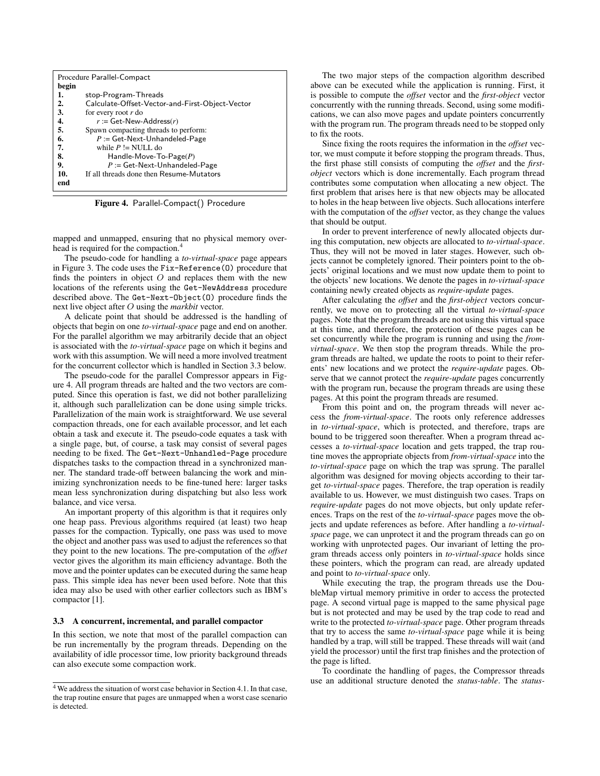|       | Procedure Parallel-Compact                      |  |  |  |  |
|-------|-------------------------------------------------|--|--|--|--|
| begin |                                                 |  |  |  |  |
| 1.    | stop-Program-Threads                            |  |  |  |  |
| 2.    | Calculate-Offset-Vector-and-First-Object-Vector |  |  |  |  |
| 3.    | for every root $r$ do                           |  |  |  |  |
| 4.    | $r := \mathsf{Get-New-Address}(r)$              |  |  |  |  |
| 5.    | Spawn compacting threads to perform:            |  |  |  |  |
| 6.    | $P := Get-Next-Unhandeled-Page$                 |  |  |  |  |
| 7.    | while $P := \text{NULL}$ do                     |  |  |  |  |
| 8.    | Handle-Move-To-Page( $P$ )                      |  |  |  |  |
| 9.    | $P := Get-Next-Unhandeled-Page$                 |  |  |  |  |
| 10.   | If all threads done then Resume-Mutators        |  |  |  |  |
| end   |                                                 |  |  |  |  |

Figure 4. Parallel-Compact() Procedure

mapped and unmapped, ensuring that no physical memory overhead is required for the compaction.<sup>4</sup>

The pseudo-code for handling a *to-virtual-space* page appears in Figure 3. The code uses the Fix-Reference(O) procedure that finds the pointers in object  $O$  and replaces them with the new locations of the referents using the Get-NewAddress procedure described above. The Get-Next-Object(O) procedure finds the next live object after O using the *markbit* vector.

A delicate point that should be addressed is the handling of objects that begin on one *to-virtual-space* page and end on another. For the parallel algorithm we may arbitrarily decide that an object is associated with the *to-virtual-space* page on which it begins and work with this assumption. We will need a more involved treatment for the concurrent collector which is handled in Section 3.3 below.

The pseudo-code for the parallel Compressor appears in Figure 4. All program threads are halted and the two vectors are computed. Since this operation is fast, we did not bother parallelizing it, although such parallelization can be done using simple tricks. Parallelization of the main work is straightforward. We use several compaction threads, one for each available processor, and let each obtain a task and execute it. The pseudo-code equates a task with a single page, but, of course, a task may consist of several pages needing to be fixed. The Get-Next-Unhandled-Page procedure dispatches tasks to the compaction thread in a synchronized manner. The standard trade-off between balancing the work and minimizing synchronization needs to be fine-tuned here: larger tasks mean less synchronization during dispatching but also less work balance, and vice versa.

An important property of this algorithm is that it requires only one heap pass. Previous algorithms required (at least) two heap passes for the compaction. Typically, one pass was used to move the object and another pass was used to adjust the references so that they point to the new locations. The pre-computation of the *offset* vector gives the algorithm its main efficiency advantage. Both the move and the pointer updates can be executed during the same heap pass. This simple idea has never been used before. Note that this idea may also be used with other earlier collectors such as IBM's compactor [1].

#### 3.3 A concurrent, incremental, and parallel compactor

In this section, we note that most of the parallel compaction can be run incrementally by the program threads. Depending on the availability of idle processor time, low priority background threads can also execute some compaction work.

The two major steps of the compaction algorithm described above can be executed while the application is running. First, it is possible to compute the *offset* vector and the *first-object* vector concurrently with the running threads. Second, using some modifications, we can also move pages and update pointers concurrently with the program run. The program threads need to be stopped only to fix the roots.

Since fixing the roots requires the information in the *offset* vector, we must compute it before stopping the program threads. Thus, the first phase still consists of computing the *offset* and the *firstobject* vectors which is done incrementally. Each program thread contributes some computation when allocating a new object. The first problem that arises here is that new objects may be allocated to holes in the heap between live objects. Such allocations interfere with the computation of the *offset* vector, as they change the values that should be output.

In order to prevent interference of newly allocated objects during this computation, new objects are allocated to *to-virtual-space*. Thus, they will not be moved in later stages. However, such objects cannot be completely ignored. Their pointers point to the objects' original locations and we must now update them to point to the objects' new locations. We denote the pages in *to-virtual-space* containing newly created objects as *require-update* pages.

After calculating the *offset* and the *first-object* vectors concurrently, we move on to protecting all the virtual *to-virtual-space* pages. Note that the program threads are not using this virtual space at this time, and therefore, the protection of these pages can be set concurrently while the program is running and using the *fromvirtual-space*. We then stop the program threads. While the program threads are halted, we update the roots to point to their referents' new locations and we protect the *require-update* pages. Observe that we cannot protect the *require-update* pages concurrently with the program run, because the program threads are using these pages. At this point the program threads are resumed.

From this point and on, the program threads will never access the *from-virtual-space*. The roots only reference addresses in *to-virtual-space*, which is protected, and therefore, traps are bound to be triggered soon thereafter. When a program thread accesses a *to-virtual-space* location and gets trapped, the trap routine moves the appropriate objects from *from-virtual-space* into the *to-virtual-space* page on which the trap was sprung. The parallel algorithm was designed for moving objects according to their target *to-virtual-space* pages. Therefore, the trap operation is readily available to us. However, we must distinguish two cases. Traps on *require-update* pages do not move objects, but only update references. Traps on the rest of the *to-virtual-space* pages move the objects and update references as before. After handling a *to-virtualspace* page, we can unprotect it and the program threads can go on working with unprotected pages. Our invariant of letting the program threads access only pointers in *to-virtual-space* holds since these pointers, which the program can read, are already updated and point to *to-virtual-space* only.

While executing the trap, the program threads use the DoubleMap virtual memory primitive in order to access the protected page. A second virtual page is mapped to the same physical page but is not protected and may be used by the trap code to read and write to the protected *to-virtual-space* page. Other program threads that try to access the same *to-virtual-space* page while it is being handled by a trap, will still be trapped. These threads will wait (and yield the processor) until the first trap finishes and the protection of the page is lifted.

To coordinate the handling of pages, the Compressor threads use an additional structure denoted the *status-table*. The *status-*

<sup>4</sup> We address the situation of worst case behavior in Section 4.1. In that case, the trap routine ensure that pages are unmapped when a worst case scenario is detected.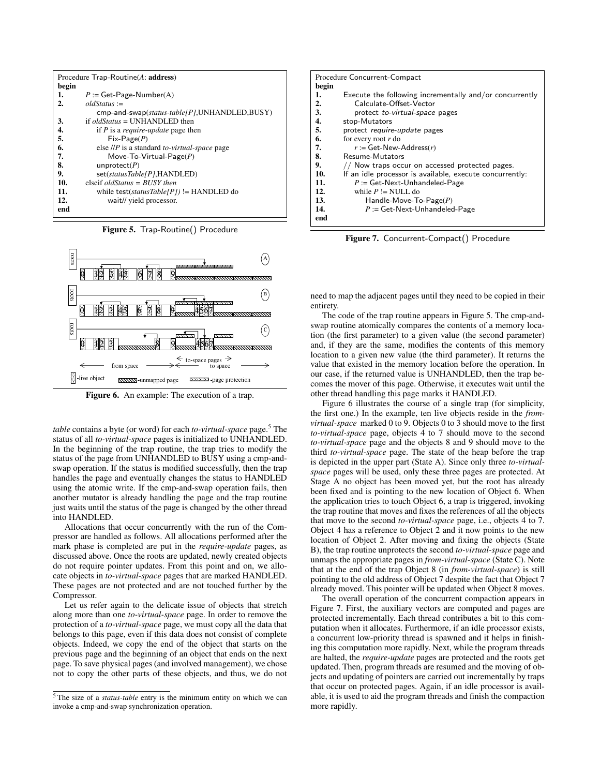|          | Procedure $T$ rap-Routine $(A;$ address)                           |  |  |  |  |  |
|----------|--------------------------------------------------------------------|--|--|--|--|--|
| begin    |                                                                    |  |  |  |  |  |
| 1.       | $P := \mathsf{Get}\text{-}\mathsf{Page}\text{-}\mathsf{Number}(A)$ |  |  |  |  |  |
| 2.       | $oldStatus :=$                                                     |  |  |  |  |  |
|          | cmp-and-swap(status-table[P],UNHANDLED,BUSY)                       |  |  |  |  |  |
| 3.       | if <i>oldStatus</i> = UNHANDLED then                               |  |  |  |  |  |
| 4.<br>5. | if $P$ is a <i>require-update</i> page then                        |  |  |  |  |  |
|          | $Fix-Page(P)$                                                      |  |  |  |  |  |
| 6.       | else //P is a standard to-virtual-space page                       |  |  |  |  |  |
| 7.       | Move-To-Virtual-Page( $P$ )                                        |  |  |  |  |  |
| 8.       | unprotect $(P)$                                                    |  |  |  |  |  |
| 9.       | set(statusTable[P],HANDLED)                                        |  |  |  |  |  |
| 10.      | elseif $oldStatus = BUSY$ then                                     |  |  |  |  |  |
| 11.      | while test(statusTable[ $P$ ]) != HANDLED do                       |  |  |  |  |  |
| 12.      | wait// yield processor.                                            |  |  |  |  |  |
| end      |                                                                    |  |  |  |  |  |

Figure 5. Trap-Routine() Procedure



Figure 6. An example: The execution of a trap.

*table* contains a byte (or word) for each *to-virtual-space* page.<sup>5</sup> The status of all *to-virtual-space* pages is initialized to UNHANDLED. In the beginning of the trap routine, the trap tries to modify the status of the page from UNHANDLED to BUSY using a cmp-andswap operation. If the status is modified successfully, then the trap handles the page and eventually changes the status to HANDLED using the atomic write. If the cmp-and-swap operation fails, then another mutator is already handling the page and the trap routine just waits until the status of the page is changed by the other thread into HANDLED.

Allocations that occur concurrently with the run of the Compressor are handled as follows. All allocations performed after the mark phase is completed are put in the *require-update* pages, as discussed above. Once the roots are updated, newly created objects do not require pointer updates. From this point and on, we allocate objects in *to-virtual-space* pages that are marked HANDLED. These pages are not protected and are not touched further by the Compressor.

Let us refer again to the delicate issue of objects that stretch along more than one *to-virtual-space* page. In order to remove the protection of a *to-virtual-space* page, we must copy all the data that belongs to this page, even if this data does not consist of complete objects. Indeed, we copy the end of the object that starts on the previous page and the beginning of an object that ends on the next page. To save physical pages (and involved management), we chose not to copy the other parts of these objects, and thus, we do not

|       | Procedure Concurrent-Compact                             |  |  |  |  |
|-------|----------------------------------------------------------|--|--|--|--|
| begin |                                                          |  |  |  |  |
| 1.    | Execute the following incrementally and/or concurrently  |  |  |  |  |
| 2.    | Calculate-Offset-Vector                                  |  |  |  |  |
| 3.    | protect to-virtual-space pages                           |  |  |  |  |
| 4.    | stop-Mutators                                            |  |  |  |  |
| 5.    | protect require-update pages                             |  |  |  |  |
| 6.    | for every root $r$ do                                    |  |  |  |  |
| 7.    | $r := \mathsf{Get-New-Address}(r)$                       |  |  |  |  |
| 8.    | Resume-Mutators                                          |  |  |  |  |
| 9.    | // Now traps occur on accessed protected pages.          |  |  |  |  |
| 10.   | If an idle processor is available, execute concurrently: |  |  |  |  |
| 11.   | $P := \mathsf{Get-Next\text{-}Unhanded\text{-}Page}$     |  |  |  |  |
| 12.   | while $P := \text{NULL}$ do                              |  |  |  |  |
| 13.   | Handle-Move-To-Page( $P$ )                               |  |  |  |  |
| 14.   | $P := Get-Next-Unhandeled-Page$                          |  |  |  |  |
| end   |                                                          |  |  |  |  |

Figure 7. Concurrent-Compact() Procedure

need to map the adjacent pages until they need to be copied in their entirety.

The code of the trap routine appears in Figure 5. The cmp-andswap routine atomically compares the contents of a memory location (the first parameter) to a given value (the second parameter) and, if they are the same, modifies the contents of this memory location to a given new value (the third parameter). It returns the value that existed in the memory location before the operation. In our case, if the returned value is UNHANDLED, then the trap becomes the mover of this page. Otherwise, it executes wait until the other thread handling this page marks it HANDLED.

Figure 6 illustrates the course of a single trap (for simplicity, the first one.) In the example, ten live objects reside in the *fromvirtual-space* marked 0 to 9. Objects 0 to 3 should move to the first *to-virtual-space* page, objects 4 to 7 should move to the second *to-virtual-space* page and the objects 8 and 9 should move to the third *to-virtual-space* page. The state of the heap before the trap is depicted in the upper part (State A). Since only three *to-virtualspace* pages will be used, only these three pages are protected. At Stage A no object has been moved yet, but the root has already been fixed and is pointing to the new location of Object 6. When the application tries to touch Object 6, a trap is triggered, invoking the trap routine that moves and fixes the references of all the objects that move to the second *to-virtual-space* page, i.e., objects 4 to 7. Object 4 has a reference to Object 2 and it now points to the new location of Object 2. After moving and fixing the objects (State B), the trap routine unprotects the second *to-virtual-space* page and unmaps the appropriate pages in *from-virtual-space* (State C). Note that at the end of the trap Object 8 (in *from-virtual-space*) is still pointing to the old address of Object 7 despite the fact that Object 7 already moved. This pointer will be updated when Object 8 moves.

The overall operation of the concurrent compaction appears in Figure 7. First, the auxiliary vectors are computed and pages are protected incrementally. Each thread contributes a bit to this computation when it allocates. Furthermore, if an idle processor exists, a concurrent low-priority thread is spawned and it helps in finishing this computation more rapidly. Next, while the program threads are halted, the *require-update* pages are protected and the roots get updated. Then, program threads are resumed and the moving of objects and updating of pointers are carried out incrementally by traps that occur on protected pages. Again, if an idle processor is available, it is used to aid the program threads and finish the compaction more rapidly.

<sup>5</sup> The size of a *status-table* entry is the minimum entity on which we can invoke a cmp-and-swap synchronization operation.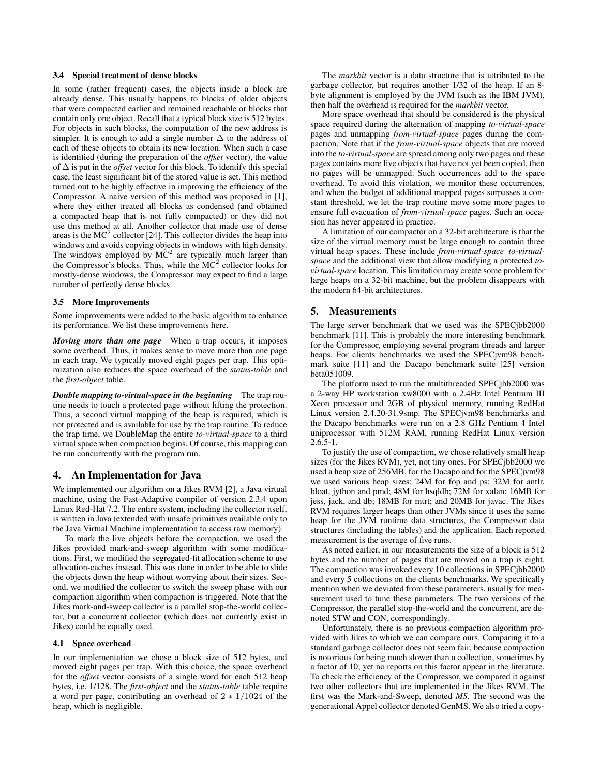#### 3.4 Special treatment of dense blocks

In some (rather frequent) cases, the objects inside a block are already dense. This usually happens to blocks of older objects that were compacted earlier and remained reachable or blocks that contain only one object. Recall that a typical block size is 512 bytes. For objects in such blocks, the computation of the new address is simpler. It is enough to add a single number  $\Delta$  to the address of each of these objects to obtain its new location. When such a case is identified (during the preparation of the *offset* vector), the value of ∆ is put in the *offset* vector for this block. To identify this special case, the least significant bit of the stored value is set. This method turned out to be highly effective in improving the efficiency of the Compressor. A naive version of this method was proposed in [1], where they either treated all blocks as condensed (and obtained a compacted heap that is not fully compacted) or they did not use this method at all. Another collector that made use of dense areas is the  $MC^2$  collector [24]. This collector divides the heap into windows and avoids copying objects in windows with high density. The windows employed by  $MC^2$  are typically much larger than the Compressor's blocks. Thus, while the  $MC<sup>2</sup>$  collector looks for mostly-dense windows, the Compressor may expect to find a large number of perfectly dense blocks.

#### 3.5 More Improvements

Some improvements were added to the basic algorithm to enhance its performance. We list these improvements here.

*Moving more than one page* When a trap occurs, it imposes some overhead. Thus, it makes sense to move more than one page in each trap. We typically moved eight pages per trap. This optimization also reduces the space overhead of the *status-table* and the *first-object* table.

*Double mapping to-virtual-space in the beginning* The trap routine needs to touch a protected page without lifting the protection. Thus, a second virtual mapping of the heap is required, which is not protected and is available for use by the trap routine. To reduce the trap time, we DoubleMap the entire *to-virtual-space* to a third virtual space when compaction begins. Of course, this mapping can be run concurrently with the program run.

## 4. An Implementation for Java

We implemented our algorithm on a Jikes RVM [2], a Java virtual machine, using the Fast-Adaptive compiler of version 2.3.4 upon Linux Red-Hat 7.2. The entire system, including the collector itself, is written in Java (extended with unsafe primitives available only to the Java Virtual Machine implementation to access raw memory).

To mark the live objects before the compaction, we used the Jikes provided mark-and-sweep algorithm with some modifications. First, we modified the segregated-fit allocation scheme to use allocation-caches instead. This was done in order to be able to slide the objects down the heap without worrying about their sizes. Second, we modified the collector to switch the sweep phase with our compaction algorithm when compaction is triggered. Note that the Jikes mark-and-sweep collector is a parallel stop-the-world collector, but a concurrent collector (which does not currently exist in Jikes) could be equally used.

#### 4.1 Space overhead

In our implementation we chose a block size of 512 bytes, and moved eight pages per trap. With this choice, the space overhead for the *offset* vector consists of a single word for each 512 heap bytes, i.e. 1/128. The *first-object* and the *status-table* table require a word per page, contributing an overhead of 2 ∗ 1/1024 of the heap, which is negligible.

The *markbit* vector is a data structure that is attributed to the garbage collector, but requires another 1/32 of the heap. If an 8 byte alignment is employed by the JVM (such as the IBM JVM), then half the overhead is required for the *markbit* vector.

More space overhead that should be considered is the physical space required during the alternation of mapping *to-virtual-space* pages and unmapping *from-virtual-space* pages during the compaction. Note that if the *from-virtual-space* objects that are moved into the *to-virtual-space* are spread among only two pages and these pages contains more live objects that have not yet been copied, then no pages will be unmapped. Such occurrences add to the space overhead. To avoid this violation, we monitor these occurrences, and when the budget of additional mapped pages surpasses a constant threshold, we let the trap routine move some more pages to ensure full evacuation of *from-virtual-space* pages. Such an occasion has never appeared in practice.

A limitation of our compactor on a 32-bit architecture is that the size of the virtual memory must be large enough to contain three virtual heap spaces. These include *from-virtual-space to-virtualspace* and the additional view that allow modifying a protected *tovirtual-space* location. This limitation may create some problem for large heaps on a 32-bit machine, but the problem disappears with the modern 64-bit architectures.

## 5. Measurements

The large server benchmark that we used was the SPECjbb2000 benchmark [11]. This is probably the more interesting benchmark for the Compressor, employing several program threads and larger heaps. For clients benchmarks we used the SPECjvm98 benchmark suite [11] and the Dacapo benchmark suite [25] version beta051009.

The platform used to run the multithreaded SPECjbb2000 was a 2-way HP workstation xw8000 with a 2.4Hz Intel Pentium III Xeon processor and 2GB of physical memory, running RedHat Linux version 2.4.20-31.9smp. The SPECjvm98 benchmarks and the Dacapo benchmarks were run on a 2.8 GHz Pentium 4 Intel uniprocessor with 512M RAM, running RedHat Linux version 2.6.5-1.

To justify the use of compaction, we chose relatively small heap sizes (for the Jikes RVM), yet, not tiny ones. For SPECjbb2000 we used a heap size of 256MB, for the Dacapo and for the SPECjvm98 we used various heap sizes: 24M for fop and ps; 32M for antlr, bloat, jython and pmd; 48M for hsqldb; 72M for xalan; 16MB for jess, jack, and db; 18MB for mtrt; and 20MB for javac. The Jikes RVM requires larger heaps than other JVMs since it uses the same heap for the JVM runtime data structures, the Compressor data structures (including the tables) and the application. Each reported measurement is the average of five runs.

As noted earlier, in our measurements the size of a block is 512 bytes and the number of pages that are moved on a trap is eight. The compaction was invoked every 10 collections in SPECjbb2000 and every 5 collections on the clients benchmarks. We specifically mention when we deviated from these parameters, usually for measurement used to tune these parameters. The two versions of the Compressor, the parallel stop-the-world and the concurrent, are denoted STW and CON, correspondingly.

Unfortunately, there is no previous compaction algorithm provided with Jikes to which we can compare ours. Comparing it to a standard garbage collector does not seem fair, because compaction is notorious for being much slower than a collection, sometimes by a factor of 10; yet no reports on this factor appear in the literature. To check the efficiency of the Compressor, we compared it against two other collectors that are implemented in the Jikes RVM. The first was the Mark-and-Sweep, denoted *MS*. The second was the generational Appel collector denoted GenMS. We also tried a copy-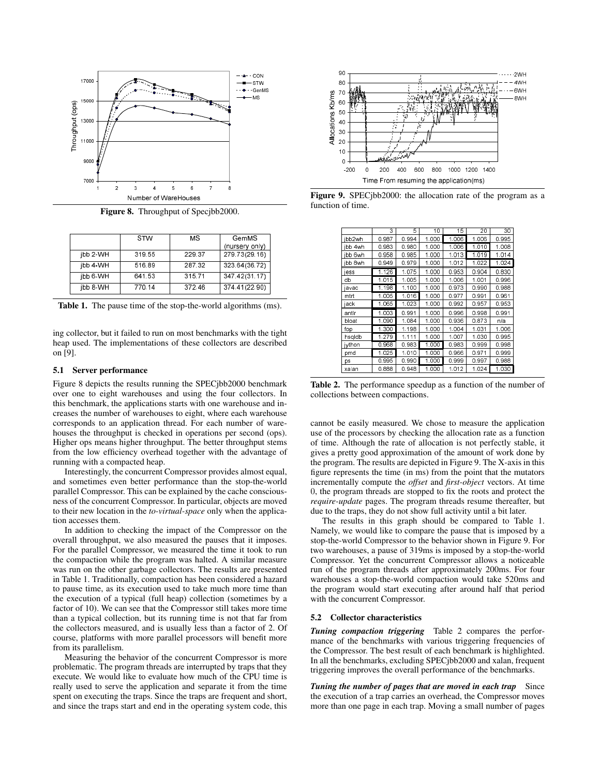

Figure 8. Throughput of Specjbb2000.

|          | <b>STW</b> | мs     | GemMS          |
|----------|------------|--------|----------------|
|          |            |        | (nursery only) |
| jbb 2 WH | 319.55     | 229.37 | 279.73(29.16)  |
| jbb 4 WH | 516.89     | 287.32 | 323 64 (36 72) |
| ibb 6-WH | 641.53     | 315.71 | 347 42 (31.17) |
| ibb 8 WH | 770.14     | 372.46 | 374 41 (22.90) |

Table 1. The pause time of the stop-the-world algorithms (ms).

ing collector, but it failed to run on most benchmarks with the tight heap used. The implementations of these collectors are described on [9].

## 5.1 Server performance

Figure 8 depicts the results running the SPECjbb2000 benchmark over one to eight warehouses and using the four collectors. In this benchmark, the applications starts with one warehouse and increases the number of warehouses to eight, where each warehouse corresponds to an application thread. For each number of warehouses the throughput is checked in operations per second (ops). Higher ops means higher throughput. The better throughput stems from the low efficiency overhead together with the advantage of running with a compacted heap.

Interestingly, the concurrent Compressor provides almost equal, and sometimes even better performance than the stop-the-world parallel Compressor. This can be explained by the cache consciousness of the concurrent Compressor. In particular, objects are moved to their new location in the *to-virtual-space* only when the application accesses them.

In addition to checking the impact of the Compressor on the overall throughput, we also measured the pauses that it imposes. For the parallel Compressor, we measured the time it took to run the compaction while the program was halted. A similar measure was run on the other garbage collectors. The results are presented in Table 1. Traditionally, compaction has been considered a hazard to pause time, as its execution used to take much more time than the execution of a typical (full heap) collection (sometimes by a factor of 10). We can see that the Compressor still takes more time than a typical collection, but its running time is not that far from the collectors measured, and is usually less than a factor of 2. Of course, platforms with more parallel processors will benefit more from its parallelism.

Measuring the behavior of the concurrent Compressor is more problematic. The program threads are interrupted by traps that they execute. We would like to evaluate how much of the CPU time is really used to serve the application and separate it from the time spent on executing the traps. Since the traps are frequent and short, and since the traps start and end in the operating system code, this



Figure 9. SPECjbb2000: the allocation rate of the program as a function of time.

|         | 3     | 5     | 10    | 15    | 20    | 30    |
|---------|-------|-------|-------|-------|-------|-------|
| bb2wh   | 0.987 | 0.994 | 1.000 | 1.006 | 1.006 | 0.995 |
| bb 4wh  | 0.983 | 0.980 | 1.000 | 1.006 | 1.010 | 1.008 |
| ibb 6wh | 0.958 | 0.985 | 1.000 | 1.013 | 1.019 | 1.014 |
| ibb 8wh | 0.949 | 0.979 | 1.000 | 1.012 | 1.022 | 1.024 |
| ess     | 1.126 | 1.075 | 1.000 | 0.953 | 0.904 | 0.830 |
| db      | 1.015 | 1.005 | 1.000 | 1.006 | 1.001 | 0.996 |
| avac    | 1.198 | 1.100 | 1.000 | 0.973 | 0.990 | 0.988 |
| mtrt    | 1.005 | 1.016 | 1.000 | 0.977 | 0.991 | 0.961 |
| ack     | 1.065 | 1.023 | 1.000 | 0.992 | 0.957 | 0.953 |
| antir   | 1.003 | 0.991 | 1.000 | 0.996 | 0.998 | 0.991 |
| bloat   | 1.090 | 1.084 | 1.000 | 0.936 | 0.873 | n/a   |
| fop     | 1.300 | 1.198 | 1.000 | 1.004 | 1.031 | 1.006 |
| hsqldb  | 1.279 | 1.111 | 1.000 | 1.007 | 1.030 | 0.995 |
| jython  | 0.968 | 0.983 | 1.000 | 0.983 | 0.999 | 0.998 |
| pmd     | 1.025 | 1.010 | 1.000 | 0.966 | 0.971 | 0.999 |
| ps      | 0.995 | 0.990 | 1.000 | 0.999 | 0.997 | 0.988 |
| xalan   | 0.888 | 0.948 | 1.000 | 1.012 | 1.024 | 1.030 |
|         |       |       |       |       |       |       |

Table 2. The performance speedup as a function of the number of collections between compactions.

cannot be easily measured. We chose to measure the application use of the processors by checking the allocation rate as a function of time. Although the rate of allocation is not perfectly stable, it gives a pretty good approximation of the amount of work done by the program. The results are depicted in Figure 9. The X-axis in this figure represents the time (in ms) from the point that the mutators incrementally compute the *offset* and *first-object* vectors. At time 0, the program threads are stopped to fix the roots and protect the *require-update* pages. The program threads resume thereafter, but due to the traps, they do not show full activity until a bit later.

The results in this graph should be compared to Table 1. Namely, we would like to compare the pause that is imposed by a stop-the-world Compressor to the behavior shown in Figure 9. For two warehouses, a pause of 319ms is imposed by a stop-the-world Compressor. Yet the concurrent Compressor allows a noticeable run of the program threads after approximately 200ms. For four warehouses a stop-the-world compaction would take 520ms and the program would start executing after around half that period with the concurrent Compressor.

#### 5.2 Collector characteristics

*Tuning compaction triggering* Table 2 compares the performance of the benchmarks with various triggering frequencies of the Compressor. The best result of each benchmark is highlighted. In all the benchmarks, excluding SPECjbb2000 and xalan, frequent triggering improves the overall performance of the benchmarks.

*Tuning the number of pages that are moved in each trap* Since the execution of a trap carries an overhead, the Compressor moves more than one page in each trap. Moving a small number of pages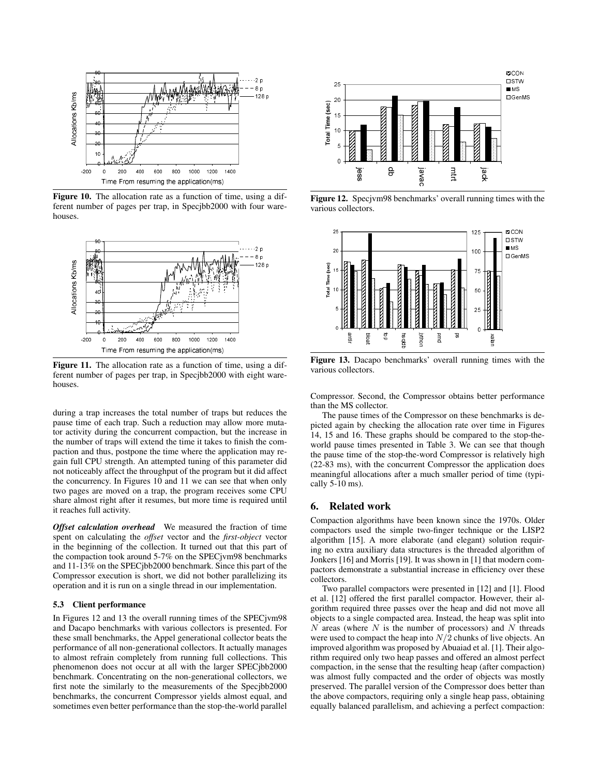

Figure 10. The allocation rate as a function of time, using a different number of pages per trap, in Specjbb2000 with four warehouses.



Figure 11. The allocation rate as a function of time, using a different number of pages per trap, in Specjbb2000 with eight warehouses.

during a trap increases the total number of traps but reduces the pause time of each trap. Such a reduction may allow more mutator activity during the concurrent compaction, but the increase in the number of traps will extend the time it takes to finish the compaction and thus, postpone the time where the application may regain full CPU strength. An attempted tuning of this parameter did not noticeably affect the throughput of the program but it did affect the concurrency. In Figures 10 and 11 we can see that when only two pages are moved on a trap, the program receives some CPU share almost right after it resumes, but more time is required until it reaches full activity.

*Offset calculation overhead* We measured the fraction of time spent on calculating the *offset* vector and the *first-object* vector in the beginning of the collection. It turned out that this part of the compaction took around 5-7% on the SPECjvm98 benchmarks and 11-13% on the SPECjbb2000 benchmark. Since this part of the Compressor execution is short, we did not bother parallelizing its operation and it is run on a single thread in our implementation.

## 5.3 Client performance

In Figures 12 and 13 the overall running times of the SPECjvm98 and Dacapo benchmarks with various collectors is presented. For these small benchmarks, the Appel generational collector beats the performance of all non-generational collectors. It actually manages to almost refrain completely from running full collections. This phenomenon does not occur at all with the larger SPECjbb2000 benchmark. Concentrating on the non-generational collectors, we first note the similarly to the measurements of the Specjbb2000 benchmarks, the concurrent Compressor yields almost equal, and sometimes even better performance than the stop-the-world parallel



Figure 12. Specjvm98 benchmarks' overall running times with the various collectors.



Figure 13. Dacapo benchmarks' overall running times with the various collectors.

Compressor. Second, the Compressor obtains better performance than the MS collector.

The pause times of the Compressor on these benchmarks is depicted again by checking the allocation rate over time in Figures 14, 15 and 16. These graphs should be compared to the stop-theworld pause times presented in Table 3. We can see that though the pause time of the stop-the-word Compressor is relatively high (22-83 ms), with the concurrent Compressor the application does meaningful allocations after a much smaller period of time (typically 5-10 ms).

## 6. Related work

Compaction algorithms have been known since the 1970s. Older compactors used the simple two-finger technique or the LISP2 algorithm [15]. A more elaborate (and elegant) solution requiring no extra auxiliary data structures is the threaded algorithm of Jonkers [16] and Morris [19]. It was shown in [1] that modern compactors demonstrate a substantial increase in efficiency over these collectors.

Two parallel compactors were presented in [12] and [1]. Flood et al. [12] offered the first parallel compactor. However, their algorithm required three passes over the heap and did not move all objects to a single compacted area. Instead, the heap was split into  $N$  areas (where  $N$  is the number of processors) and  $N$  threads were used to compact the heap into  $N/2$  chunks of live objects. An improved algorithm was proposed by Abuaiad et al. [1]. Their algorithm required only two heap passes and offered an almost perfect compaction, in the sense that the resulting heap (after compaction) was almost fully compacted and the order of objects was mostly preserved. The parallel version of the Compressor does better than the above compactors, requiring only a single heap pass, obtaining equally balanced parallelism, and achieving a perfect compaction: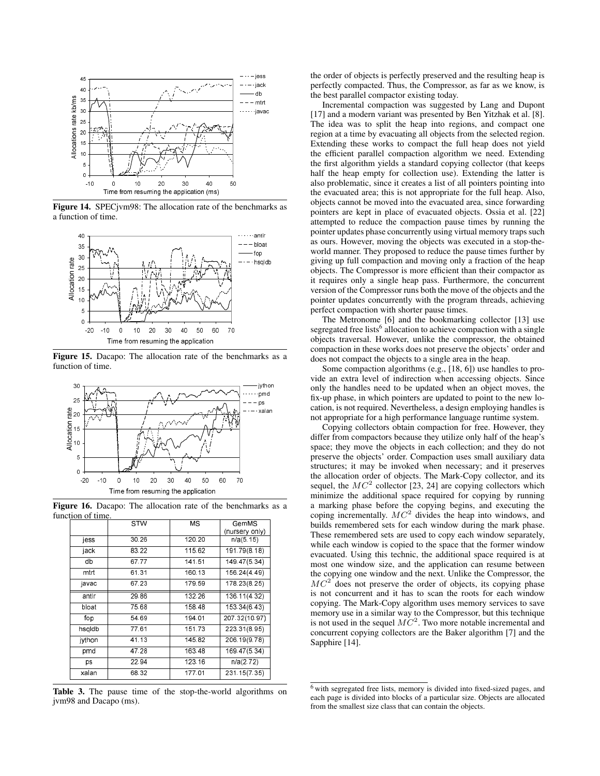

Figure 14. SPECjvm98: The allocation rate of the benchmarks as a function of time.



Figure 15. Dacapo: The allocation rate of the benchmarks as a function of time.



Figure 16. Dacapo: The allocation rate of the benchmarks as a function of time.

| uvii vi uliiv. |            |        |                |
|----------------|------------|--------|----------------|
|                | <b>STW</b> | мs     | GemMS          |
|                |            |        | (nursery only) |
| jess           | 30.26      | 120.20 | n/a(5.15)      |
| jack           | 83.22      | 115.62 | 191.79(8.18)   |
| db             | 67.77      | 141.51 | 149 47 (5.34)  |
| mtrt           | 61.31      | 160.13 | 156 24 (4 4 9) |
| javac          | 67.23      | 179.59 | 178.23(8.25)   |
| antir          | 29.86      | 132.26 | 136.11(4.32)   |
| bloat          | 75.68      | 158.48 | 153 34 (643)   |
| fop            | 54.69      | 194.01 | 207.32(10.97)  |
| hsgidb         | 77.61      | 151.73 | 223.31(8.95)   |
| jython         | 41.13      | 145.82 | 206 19(9.78)   |
| pmd            | 47.28      | 16348  | 169 47 (5.34)  |
| рs             | 22.94      | 123.16 | n/a(2.72)      |
| xalan          | 68.32      | 177.01 | 231.15(7.35)   |
|                |            |        |                |

Table 3. The pause time of the stop-the-world algorithms on jvm98 and Dacapo (ms).

the order of objects is perfectly preserved and the resulting heap is perfectly compacted. Thus, the Compressor, as far as we know, is the best parallel compactor existing today.

Incremental compaction was suggested by Lang and Dupont [17] and a modern variant was presented by Ben Yitzhak et al. [8]. The idea was to split the heap into regions, and compact one region at a time by evacuating all objects from the selected region. Extending these works to compact the full heap does not yield the efficient parallel compaction algorithm we need. Extending the first algorithm yields a standard copying collector (that keeps half the heap empty for collection use). Extending the latter is also problematic, since it creates a list of all pointers pointing into the evacuated area; this is not appropriate for the full heap. Also, objects cannot be moved into the evacuated area, since forwarding pointers are kept in place of evacuated objects. Ossia et al. [22] attempted to reduce the compaction pause times by running the pointer updates phase concurrently using virtual memory traps such as ours. However, moving the objects was executed in a stop-theworld manner. They proposed to reduce the pause times further by giving up full compaction and moving only a fraction of the heap objects. The Compressor is more efficient than their compactor as it requires only a single heap pass. Furthermore, the concurrent version of the Compressor runs both the move of the objects and the pointer updates concurrently with the program threads, achieving perfect compaction with shorter pause times.

The Metronome [6] and the bookmarking collector [13] use segregated free lists<sup>6</sup> allocation to achieve compaction with a single objects traversal. However, unlike the compressor, the obtained compaction in these works does not preserve the objects' order and does not compact the objects to a single area in the heap.

Some compaction algorithms (e.g., [18, 6]) use handles to provide an extra level of indirection when accessing objects. Since only the handles need to be updated when an object moves, the fix-up phase, in which pointers are updated to point to the new location, is not required. Nevertheless, a design employing handles is not appropriate for a high performance language runtime system.

Copying collectors obtain compaction for free. However, they differ from compactors because they utilize only half of the heap's space; they move the objects in each collection; and they do not preserve the objects' order. Compaction uses small auxiliary data structures; it may be invoked when necessary; and it preserves the allocation order of objects. The Mark-Copy collector, and its sequel, the  $MC^2$  collector [23, 24] are copying collectors which minimize the additional space required for copying by running a marking phase before the copying begins, and executing the coping incrementally.  $MC^2$  divides the heap into windows, and builds remembered sets for each window during the mark phase. These remembered sets are used to copy each window separately, while each window is copied to the space that the former window evacuated. Using this technic, the additional space required is at most one window size, and the application can resume between the copying one window and the next. Unlike the Compressor, the  $MC^{2}$  does not preserve the order of objects, its copying phase is not concurrent and it has to scan the roots for each window copying. The Mark-Copy algorithm uses memory services to save memory use in a similar way to the Compressor, but this technique is not used in the sequel  $MC^2$ . Two more notable incremental and concurrent copying collectors are the Baker algorithm [7] and the Sapphire [14].

<sup>6</sup> with segregated free lists, memory is divided into fixed-sized pages, and each page is divided into blocks of a particular size. Objects are allocated from the smallest size class that can contain the objects.